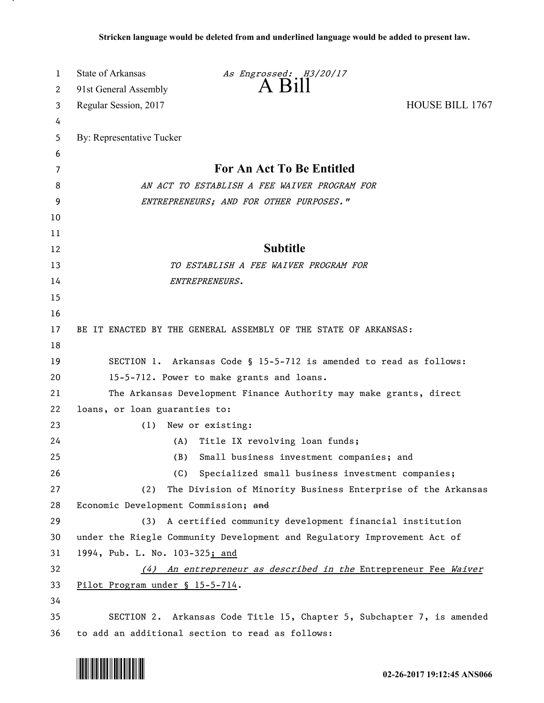| 1  | State of Arkansas                         | As Engrossed: H3/20/17                                                   |                        |
|----|-------------------------------------------|--------------------------------------------------------------------------|------------------------|
| 2  | 91st General Assembly                     | $A$ $B1II$                                                               |                        |
| 3  | Regular Session, 2017                     |                                                                          | <b>HOUSE BILL 1767</b> |
| 4  |                                           |                                                                          |                        |
| 5  | By: Representative Tucker                 |                                                                          |                        |
| 6  |                                           |                                                                          |                        |
| 7  |                                           | For An Act To Be Entitled                                                |                        |
| 8  |                                           | AN ACT TO ESTABLISH A FEE WAIVER PROGRAM FOR                             |                        |
| 9  |                                           | ENTREPRENEURS; AND FOR OTHER PURPOSES."                                  |                        |
| 10 |                                           |                                                                          |                        |
| 11 |                                           |                                                                          |                        |
| 12 |                                           | <b>Subtitle</b>                                                          |                        |
| 13 |                                           | TO ESTABLISH A FEE WAIVER PROGRAM FOR                                    |                        |
| 14 |                                           | ENTREPRENEURS.                                                           |                        |
| 15 |                                           |                                                                          |                        |
| 16 |                                           |                                                                          |                        |
| 17 |                                           | BE IT ENACTED BY THE GENERAL ASSEMBLY OF THE STATE OF ARKANSAS:          |                        |
| 18 |                                           |                                                                          |                        |
| 19 |                                           | SECTION 1. Arkansas Code § 15-5-712 is amended to read as follows:       |                        |
| 20 | 15-5-712. Power to make grants and loans. |                                                                          |                        |
| 21 |                                           | The Arkansas Development Finance Authority may make grants, direct       |                        |
| 22 | loans, or loan guaranties to:             |                                                                          |                        |
| 23 | (1)                                       | New or existing:                                                         |                        |
| 24 | (A)                                       | Title IX revolving loan funds;                                           |                        |
| 25 | (B)                                       | Small business investment companies; and                                 |                        |
| 26 | (C)                                       | Specialized small business investment companies;                         |                        |
| 27 | (2)                                       | The Division of Minority Business Enterprise of the Arkansas             |                        |
| 28 | Economic Development Commission; and      |                                                                          |                        |
| 29 | (3)                                       | A certified community development financial institution                  |                        |
| 30 |                                           | under the Riegle Community Development and Regulatory Improvement Act of |                        |
| 31 | 1994, Pub. L. No. 103-325; and            |                                                                          |                        |
| 32 |                                           | (4) An entrepreneur as described in the Entrepreneur Fee Waiver          |                        |
| 33 | Pilot Program under § 15-5-714.           |                                                                          |                        |
| 34 |                                           |                                                                          |                        |
| 35 |                                           | SECTION 2. Arkansas Code Title 15, Chapter 5, Subchapter 7, is amended   |                        |
| 36 |                                           | to add an additional section to read as follows:                         |                        |

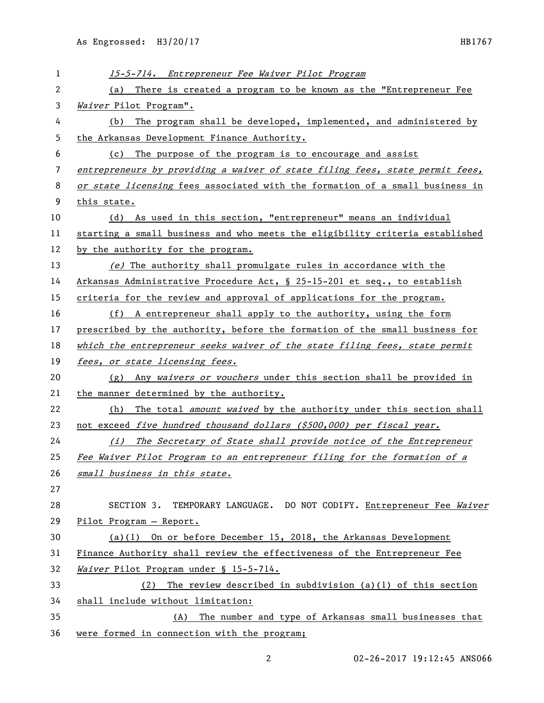| 1  | 15-5-714. Entrepreneur Fee Waiver Pilot Program                              |  |  |
|----|------------------------------------------------------------------------------|--|--|
| 2  | There is created a program to be known as the "Entrepreneur Fee<br>(a)       |  |  |
| 3  | Waiver Pilot Program".                                                       |  |  |
| 4  | The program shall be developed, implemented, and administered by<br>(b)      |  |  |
| 5  | the Arkansas Development Finance Authority.                                  |  |  |
| 6  | The purpose of the program is to encourage and assist<br>(c)                 |  |  |
| 7  | entrepreneurs by providing a waiver of state filing fees, state permit fees, |  |  |
| 8  | or state licensing fees associated with the formation of a small business in |  |  |
| 9  | this state.                                                                  |  |  |
| 10 | As used in this section, "entrepreneur" means an individual<br>(d)           |  |  |
| 11 | starting a small business and who meets the eligibility criteria established |  |  |
| 12 | by the authority for the program.                                            |  |  |
| 13 | (e) The authority shall promulgate rules in accordance with the              |  |  |
| 14 | Arkansas Administrative Procedure Act, § 25-15-201 et seq., to establish     |  |  |
| 15 | criteria for the review and approval of applications for the program.        |  |  |
| 16 | (f) A entrepreneur shall apply to the authority, using the form              |  |  |
| 17 | prescribed by the authority, before the formation of the small business for  |  |  |
| 18 | which the entrepreneur seeks waiver of the state filing fees, state permit   |  |  |
| 19 | fees, or state licensing fees.                                               |  |  |
| 20 | (g) Any waivers or vouchers under this section shall be provided in          |  |  |
| 21 | the manner determined by the authority.                                      |  |  |
| 22 | The total amount waived by the authority under this section shall<br>(h)     |  |  |
| 23 | not exceed five hundred thousand dollars (\$500,000) per fiscal year.        |  |  |
| 24 | The Secretary of State shall provide notice of the Entrepreneur<br>(i)       |  |  |
| 25 | Fee Waiver Pilot Program to an entrepreneur filing for the formation of a    |  |  |
| 26 | small business in this state.                                                |  |  |
| 27 |                                                                              |  |  |
| 28 | SECTION 3. TEMPORARY LANGUAGE. DO NOT CODIFY. Entrepreneur Fee Waiver        |  |  |
| 29 | Pilot Program - Report.                                                      |  |  |
| 30 | $(a)(1)$ On or before December 15, 2018, the Arkansas Development            |  |  |
| 31 | Finance Authority shall review the effectiveness of the Entrepreneur Fee     |  |  |
| 32 | Waiver Pilot Program under § 15-5-714.                                       |  |  |
| 33 | The review described in subdivision (a)(1) of this section<br>(2)            |  |  |
| 34 | shall include without limitation:                                            |  |  |
| 35 | The number and type of Arkansas small businesses that<br>(A)                 |  |  |
| 36 | were formed in connection with the program;                                  |  |  |